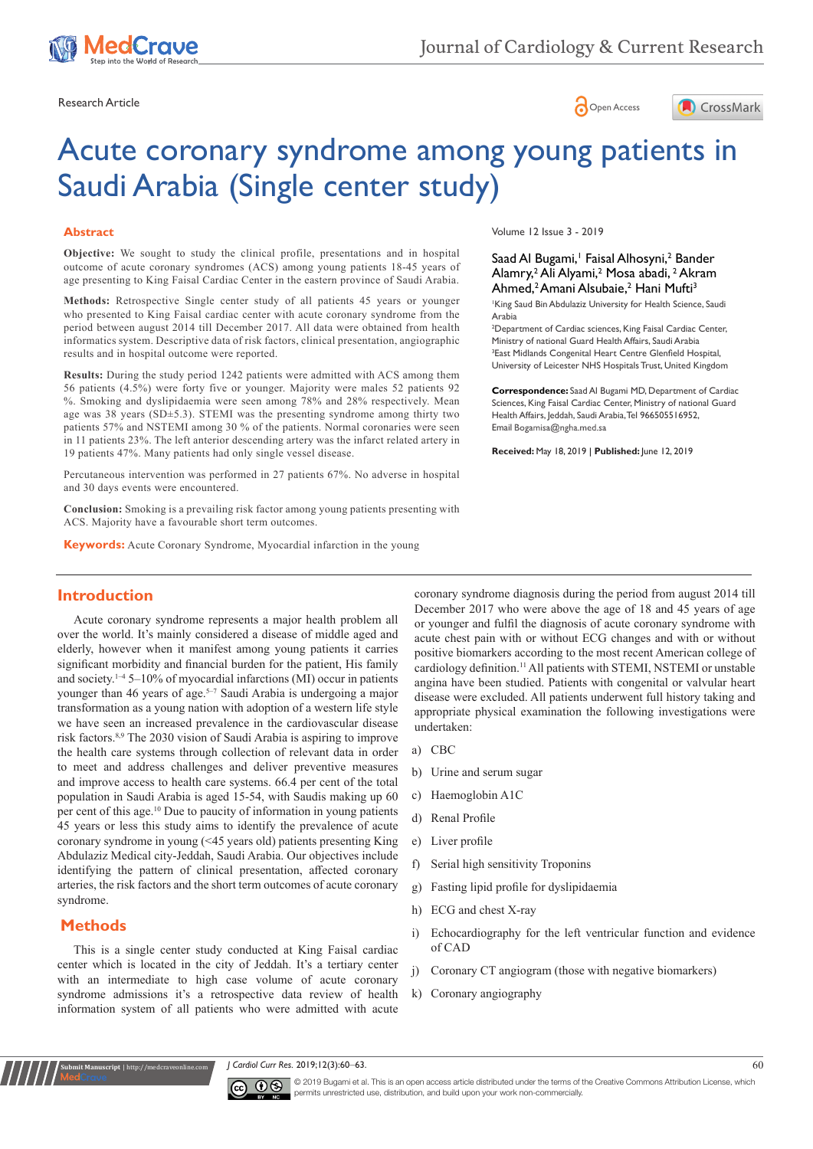





# Acute coronary syndrome among young patients in Saudi Arabia (Single center study)

## **Abstract**

**Objective:** We sought to study the clinical profile, presentations and in hospital outcome of acute coronary syndromes (ACS) among young patients 18-45 years of age presenting to King Faisal Cardiac Center in the eastern province of Saudi Arabia.

**Methods:** Retrospective Single center study of all patients 45 years or younger who presented to King Faisal cardiac center with acute coronary syndrome from the period between august 2014 till December 2017. All data were obtained from health informatics system. Descriptive data of risk factors, clinical presentation, angiographic results and in hospital outcome were reported.

**Results:** During the study period 1242 patients were admitted with ACS among them 56 patients (4.5%) were forty five or younger. Majority were males 52 patients 92 %. Smoking and dyslipidaemia were seen among 78% and 28% respectively. Mean age was 38 years (SD±5.3). STEMI was the presenting syndrome among thirty two patients 57% and NSTEMI among 30 % of the patients. Normal coronaries were seen in 11 patients 23%. The left anterior descending artery was the infarct related artery in 19 patients 47%. Many patients had only single vessel disease.

Percutaneous intervention was performed in 27 patients 67%. No adverse in hospital and 30 days events were encountered.

**Conclusion:** Smoking is a prevailing risk factor among young patients presenting with ACS. Majority have a favourable short term outcomes.

**Keywords:** Acute Coronary Syndrome, Myocardial infarction in the young

Volume 12 Issue 3 - 2019

## Saad Al Bugami,<sup>1</sup> Faisal Alhosyni,<sup>2</sup> Bander Alamry,<sup>2</sup> Ali Alyami,<sup>2</sup> Mosa abadi, <sup>2</sup> Akram Ahmed,<sup>2</sup> Amani Alsubaie,<sup>2</sup> Hani Mufti<sup>3</sup>

King Saud Bin Abdulaziz University for Health Science, Saudi Arabia

<sup>2</sup>Department of Cardiac sciences, King Faisal Cardiac Center, Ministry of national Guard Health Affairs, Saudi Arabia <sup>3</sup> East Midlands Congenital Heart Centre Glenfield Hospital, University of Leicester NHS Hospitals Trust, United Kingdom

**Correspondence:** Saad Al Bugami MD, Department of Cardiac Sciences, King Faisal Cardiac Center, Ministry of national Guard Health Affairs, Jeddah, Saudi Arabia, Tel 966505516952, Email Bogamisa@ngha.med.sa

**Received:** May 18, 2019 | **Published:** June 12, 2019

# **Introduction**

Acute coronary syndrome represents a major health problem all over the world. It's mainly considered a disease of middle aged and elderly, however when it manifest among young patients it carries significant morbidity and financial burden for the patient, His family and society.<sup>1-4</sup> 5-10% of myocardial infarctions (MI) occur in patients younger than 46 years of age.<sup>5-7</sup> Saudi Arabia is undergoing a major transformation as a young nation with adoption of a western life style we have seen an increased prevalence in the cardiovascular disease risk factors.8,9 The 2030 vision of Saudi Arabia is aspiring to improve the health care systems through collection of relevant data in order to meet and address challenges and deliver preventive measures and improve access to health care systems. 66.4 per cent of the total population in Saudi Arabia is aged 15-54, with Saudis making up 60 per cent of this age.10 Due to paucity of information in young patients 45 years or less this study aims to identify the prevalence of acute coronary syndrome in young (<45 years old) patients presenting King Abdulaziz Medical city-Jeddah, Saudi Arabia. Our objectives include identifying the pattern of clinical presentation, affected coronary arteries, the risk factors and the short term outcomes of acute coronary syndrome.

## **Methods**

**Kubmit Manuscript** | http://medcraveonline

This is a single center study conducted at King Faisal cardiac center which is located in the city of Jeddah. It's a tertiary center with an intermediate to high case volume of acute coronary syndrome admissions it's a retrospective data review of health information system of all patients who were admitted with acute

coronary syndrome diagnosis during the period from august 2014 till December 2017 who were above the age of 18 and 45 years of age or younger and fulfil the diagnosis of acute coronary syndrome with acute chest pain with or without ECG changes and with or without positive biomarkers according to the most recent American college of cardiology definition.<sup>11</sup> All patients with STEMI, NSTEMI or unstable angina have been studied. Patients with congenital or valvular heart disease were excluded. All patients underwent full history taking and appropriate physical examination the following investigations were undertaken:

- a) CBC
- b) Urine and serum sugar
- c) Haemoglobin A1C
- d) Renal Profile
- e) Liver profile
- f) Serial high sensitivity Troponins
- g) Fasting lipid profile for dyslipidaemia
- h) ECG and chest X-ray
- i) Echocardiography for the left ventricular function and evidence of CAD
- j) Coronary CT angiogram (those with negative biomarkers)
- k) Coronary angiography

*J Cardiol Curr Res.* 2019;12(3):60‒63. 60



© 2019 Bugami et al. This is an open access article distributed under the terms of the [Creative Commons Attribution License,](https://creativecommons.org/licenses/by-nc/4.0/) which permits unrestricted use, distribution, and build upon your work non-commercially.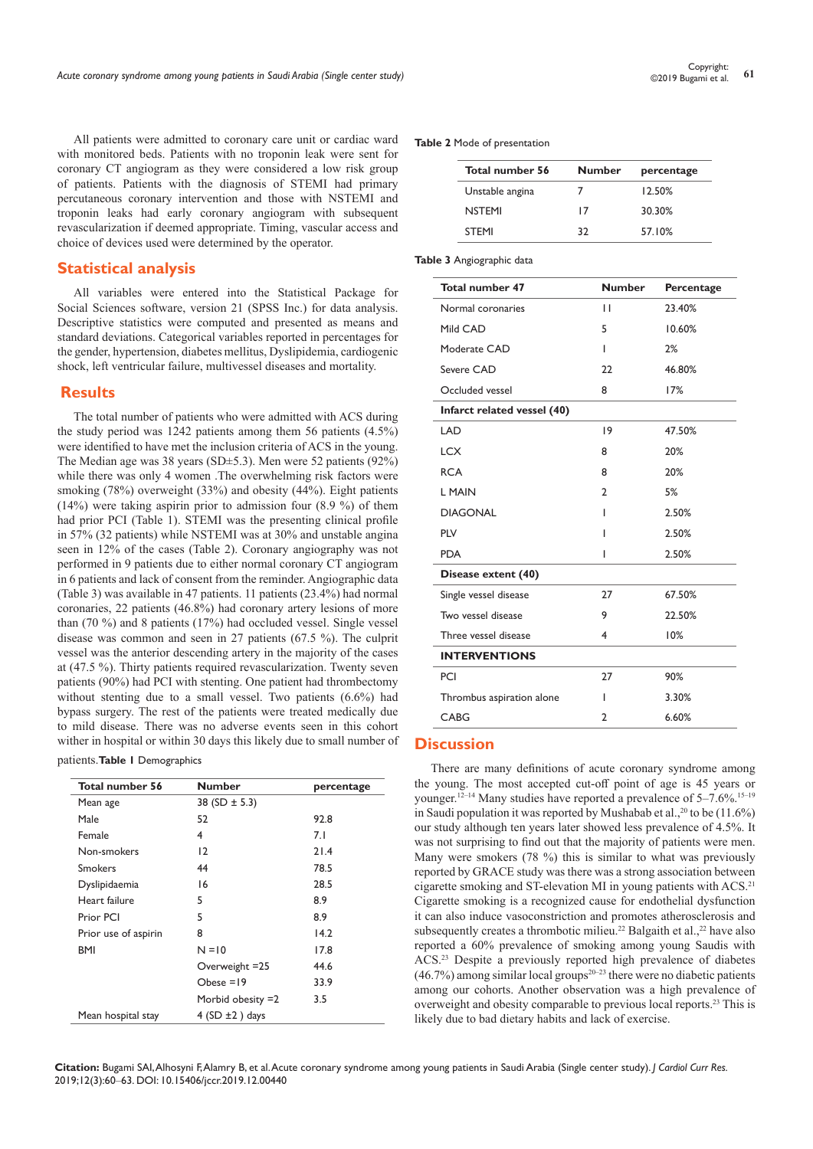All patients were admitted to coronary care unit or cardiac ward with monitored beds. Patients with no troponin leak were sent for coronary CT angiogram as they were considered a low risk group of patients. Patients with the diagnosis of STEMI had primary percutaneous coronary intervention and those with NSTEMI and troponin leaks had early coronary angiogram with subsequent revascularization if deemed appropriate. Timing, vascular access and choice of devices used were determined by the operator.

# **Statistical analysis**

All variables were entered into the Statistical Package for Social Sciences software, version 21 (SPSS Inc.) for data analysis. Descriptive statistics were computed and presented as means and standard deviations. Categorical variables reported in percentages for the gender, hypertension, diabetes mellitus, Dyslipidemia, cardiogenic shock, left ventricular failure, multivessel diseases and mortality.

## **Results**

The total number of patients who were admitted with ACS during the study period was 1242 patients among them 56 patients (4.5%) were identified to have met the inclusion criteria of ACS in the young. The Median age was 38 years (SD±5.3). Men were 52 patients (92%) while there was only 4 women .The overwhelming risk factors were smoking (78%) overweight (33%) and obesity (44%). Eight patients (14%) were taking aspirin prior to admission four (8.9 %) of them had prior PCI (Table 1). STEMI was the presenting clinical profile in 57% (32 patients) while NSTEMI was at 30% and unstable angina seen in 12% of the cases (Table 2). Coronary angiography was not performed in 9 patients due to either normal coronary CT angiogram in 6 patients and lack of consent from the reminder. Angiographic data (Table 3) was available in 47 patients. 11 patients (23.4%) had normal coronaries, 22 patients (46.8%) had coronary artery lesions of more than (70 %) and 8 patients (17%) had occluded vessel. Single vessel disease was common and seen in 27 patients (67.5 %). The culprit vessel was the anterior descending artery in the majority of the cases at (47.5 %). Thirty patients required revascularization. Twenty seven patients (90%) had PCI with stenting. One patient had thrombectomy without stenting due to a small vessel. Two patients (6.6%) had bypass surgery. The rest of the patients were treated medically due to mild disease. There was no adverse events seen in this cohort wither in hospital or within 30 days this likely due to small number of

## patients.**Table 1** Demographics

| <b>Total number 56</b> | <b>Number</b>          | percentage |
|------------------------|------------------------|------------|
| Mean age               | 38 (SD $\pm$ 5.3)      |            |
| Male                   | 52                     | 92.8       |
| Female                 | 4                      | 7.1        |
| Non-smokers            | 12                     | 21.4       |
| <b>Smokers</b>         | 44                     | 78.5       |
| Dyslipidaemia          | 16                     | 28.5       |
| Heart failure          | 5                      | 8.9        |
| Prior PCI              | 5                      | 8.9        |
| Prior use of aspirin   | 8                      | 14.2       |
| <b>BMI</b>             | $N = 10$               | 17.8       |
|                        | Overweight = 25        | 44.6       |
|                        | Obese $=19$            | 33.9       |
|                        | Morbid obesity $=2$    | 3.5        |
| Mean hospital stay     | $4$ (SD $\pm 2$ ) days |            |

#### **Table 2** Mode of presentation

| Total number 56 | <b>Number</b> | percentage |  |  |
|-----------------|---------------|------------|--|--|
| Unstable angina | 7             | 12.50%     |  |  |
| <b>NSTEMI</b>   | 17            | 30.30%     |  |  |
| <b>STFMI</b>    | 32            | 57.10%     |  |  |

#### **Table 3** Angiographic data

| <b>Total number 47</b>      | <b>Number</b>  | Percentage |
|-----------------------------|----------------|------------|
| Normal coronaries           | $\mathbf{H}$   | 23.40%     |
| Mild CAD                    | 5              | 10.60%     |
| Moderate CAD                | ı              | 2%         |
| Severe CAD                  | 22             | 46.80%     |
| Occluded vessel             | 8              | 17%        |
| Infarct related vessel (40) |                |            |
| I AD                        | 19             | 47.50%     |
| <b>LCX</b>                  | 8              | 20%        |
| <b>RCA</b>                  | 8              | 20%        |
| L MAIN                      | $\overline{2}$ | 5%         |
| <b>DIAGONAL</b>             | ı              | 2.50%      |
| <b>PIV</b>                  | ı              | 2.50%      |
| <b>PDA</b>                  | ı              | 2.50%      |
| Disease extent (40)         |                |            |
| Single vessel disease       | 27             | 67.50%     |
| Two vessel disease          | 9              | 22.50%     |
| Three vessel disease        | 4              | 10%        |
| <b>INTERVENTIONS</b>        |                |            |
| PCI                         | 27             | 90%        |
| Thrombus aspiration alone   | ı              | 3.30%      |
| CABG                        | $\overline{2}$ | 6.60%      |

## **Discussion**

There are many definitions of acute coronary syndrome among the young. The most accepted cut-off point of age is 45 years or younger.12–14 Many studies have reported a prevalence of 5–7.6%.15–19 in Saudi population it was reported by Mushabab et al.,  $^{20}$  to be (11.6%) our study although ten years later showed less prevalence of 4.5%. It was not surprising to find out that the majority of patients were men. Many were smokers (78 %) this is similar to what was previously reported by GRACE study was there was a strong association between cigarette smoking and ST-elevation MI in young patients with ACS.21 Cigarette smoking is a recognized cause for endothelial dysfunction it can also induce vasoconstriction and promotes atherosclerosis and subsequently creates a thrombotic milieu.<sup>22</sup> Balgaith et al.,<sup>22</sup> have also reported a 60% prevalence of smoking among young Saudis with ACS.23 Despite a previously reported high prevalence of diabetes  $(46.7%)$  among similar local groups<sup>20-23</sup> there were no diabetic patients among our cohorts. Another observation was a high prevalence of overweight and obesity comparable to previous local reports.23 This is likely due to bad dietary habits and lack of exercise.

**Citation:** Bugami SAI, Alhosyni F, Alamry B, et al. Acute coronary syndrome among young patients in Saudi Arabia (Single center study). *J Cardiol Curr Res.* 2019;12(3):60‒63. DOI: [10.15406/jccr.2019.12.00440](https://doi.org/10.15406/jccr.2019.12.00440)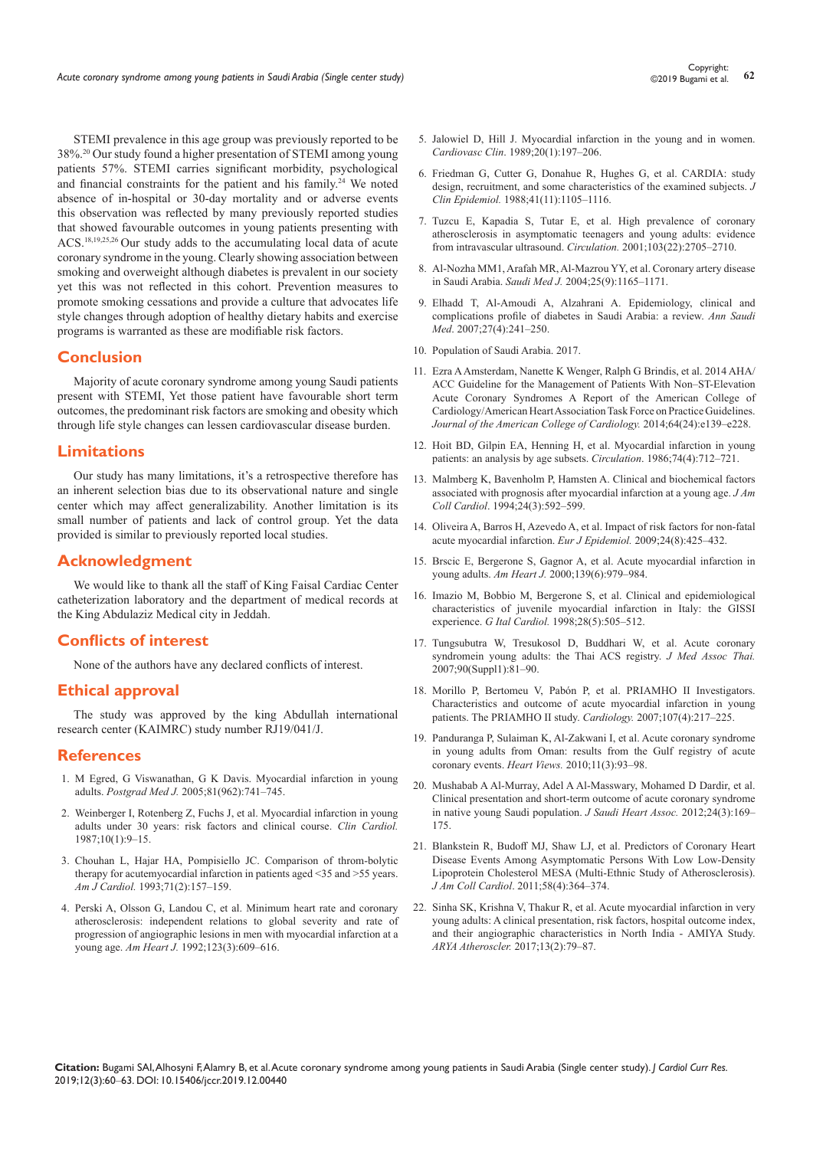STEMI prevalence in this age group was previously reported to be 38%.20 Our study found a higher presentation of STEMI among young patients 57%. STEMI carries significant morbidity, psychological and financial constraints for the patient and his family.<sup>24</sup> We noted absence of in-hospital or 30-day mortality and or adverse events this observation was reflected by many previously reported studies that showed favourable outcomes in young patients presenting with ACS.18,19,25,26 Our study adds to the accumulating local data of acute coronary syndrome in the young. Clearly showing association between smoking and overweight although diabetes is prevalent in our society yet this was not reflected in this cohort. Prevention measures to promote smoking cessations and provide a culture that advocates life style changes through adoption of healthy dietary habits and exercise programs is warranted as these are modifiable risk factors.

# **Conclusion**

Majority of acute coronary syndrome among young Saudi patients present with STEMI, Yet those patient have favourable short term outcomes, the predominant risk factors are smoking and obesity which through life style changes can lessen cardiovascular disease burden.

# **Limitations**

Our study has many limitations, it's a retrospective therefore has an inherent selection bias due to its observational nature and single center which may affect generalizability. Another limitation is its small number of patients and lack of control group. Yet the data provided is similar to previously reported local studies.

# **Acknowledgment**

We would like to thank all the staff of King Faisal Cardiac Center catheterization laboratory and the department of medical records at the King Abdulaziz Medical city in Jeddah.

# **Conflicts of interest**

None of the authors have any declared conflicts of interest.

## **Ethical approval**

The study was approved by the king Abdullah international research center (KAIMRC) study number RJ19/041/J.

## **References**

- 1. [M Egred, G Viswanathan, G K Davis. Myocardial infarction in young](https://www.ncbi.nlm.nih.gov/pubmed/16344295)  adults. *Postgrad Med J.* [2005;81\(962\):741–745.](https://www.ncbi.nlm.nih.gov/pubmed/16344295)
- 2. [Weinberger I, Rotenberg Z, Fuchs J, et al. Myocardial infarction in young](https://www.ncbi.nlm.nih.gov/pubmed/3815921)  [adults under 30 years: risk factors and clinical course.](https://www.ncbi.nlm.nih.gov/pubmed/3815921) *Clin Cardiol.*  [1987;10\(1\):9–15.](https://www.ncbi.nlm.nih.gov/pubmed/3815921)
- 3. [Chouhan L, Hajar HA, Pompisiello JC. Comparison of throm-bolytic](https://www.ncbi.nlm.nih.gov/pubmed/8421976)  [therapy for acutemyocardial infarction in patients aged <35 and >55 years.](https://www.ncbi.nlm.nih.gov/pubmed/8421976)  *Am J Cardiol.* [1993;71\(2\):157–159.](https://www.ncbi.nlm.nih.gov/pubmed/8421976)
- 4. [Perski A, Olsson G, Landou C, et al. Minimum heart rate and coronary](https://www.ncbi.nlm.nih.gov/pubmed/1539512)  [atherosclerosis: independent relations to global severity and rate of](https://www.ncbi.nlm.nih.gov/pubmed/1539512)  [progression of angiographic lesions in men with myocardial infarction at a](https://www.ncbi.nlm.nih.gov/pubmed/1539512)  young age. *Am Heart J.* [1992;123\(3\):609–616.](https://www.ncbi.nlm.nih.gov/pubmed/1539512)
- 5. [Jalowiel D, Hill J. Myocardial infarction in the young and in women.](https://www.ncbi.nlm.nih.gov/pubmed/2653633)  *Cardiovasc Clin*[. 1989;20\(1\):197–206.](https://www.ncbi.nlm.nih.gov/pubmed/2653633)
- 6. [Friedman G, Cutter G, Donahue R, Hughes G, et al. CARDIA: study](https://www.ncbi.nlm.nih.gov/pubmed/3204420)  [design, recruitment, and some characteristics of the examined subjects.](https://www.ncbi.nlm.nih.gov/pubmed/3204420) *J Clin Epidemiol.* [1988;41\(11\):1105–1116.](https://www.ncbi.nlm.nih.gov/pubmed/3204420)
- 7. [Tuzcu E, Kapadia S, Tutar E, et al. High prevalence of coronary](https://www.ncbi.nlm.nih.gov/pubmed/11390341)  [atherosclerosis in asymptomatic teenagers and young adults: evidence](https://www.ncbi.nlm.nih.gov/pubmed/11390341)  [from intravascular ultrasound.](https://www.ncbi.nlm.nih.gov/pubmed/11390341) *Circulation.* 2001;103(22):2705–2710.
- 8. [Al-Nozha MM1, Arafah MR, Al-Mazrou YY, et al. Coronary artery disease](https://www.ncbi.nlm.nih.gov/pubmed/15448760)  in Saudi Arabia. *Saudi Med J.* [2004;25\(9\):1165–1171.](https://www.ncbi.nlm.nih.gov/pubmed/15448760)
- 9. [Elhadd T, Al-Amoudi A, Alzahrani A. Epidemiology, clinical and](https://www.ncbi.nlm.nih.gov/pubmed/17684435)  [complications profile of diabetes in Saudi Arabia: a review.](https://www.ncbi.nlm.nih.gov/pubmed/17684435) *Ann Saudi Med*[. 2007;27\(4\):241–250.](https://www.ncbi.nlm.nih.gov/pubmed/17684435)
- 10. [Population of Saudi Arabia. 2017.](https://fanack.com/saudi-arabia/population/)
- 11. [Ezra A Amsterdam, Nanette K Wenger, Ralph G Brindis, et al. 2014 AHA/](https://www.ncbi.nlm.nih.gov/pubmed/25260718) [ACC Guideline for the Management of Patients With Non–ST-Elevation](https://www.ncbi.nlm.nih.gov/pubmed/25260718)  [Acute Coronary Syndromes A Report of the American College of](https://www.ncbi.nlm.nih.gov/pubmed/25260718)  [Cardiology/American Heart Association Task Force on Practice Guidelines.](https://www.ncbi.nlm.nih.gov/pubmed/25260718)  *[Journal of the American College of Cardiology.](https://www.ncbi.nlm.nih.gov/pubmed/25260718)* 2014;64(24):e139–e228.
- 12. [Hoit BD, Gilpin EA, Henning H, et al. Myocardial infarction in young](https://www.ncbi.nlm.nih.gov/pubmed/3757185)  [patients: an analysis by age subsets.](https://www.ncbi.nlm.nih.gov/pubmed/3757185) *Circulation*. 1986;74(4):712–721.
- 13. [Malmberg K, Bavenholm P, Hamsten A. Clinical and biochemical factors](https://www.ncbi.nlm.nih.gov/pubmed/8077526)  [associated with prognosis after myocardial infarction at a young age.](https://www.ncbi.nlm.nih.gov/pubmed/8077526) *J Am Coll Cardiol*[. 1994;24\(3\):592–599.](https://www.ncbi.nlm.nih.gov/pubmed/8077526)
- 14. [Oliveira A, Barros H, Azevedo A, et al. Impact of risk factors for non-fatal](https://www.ncbi.nlm.nih.gov/pubmed/19495998)  [acute myocardial infarction.](https://www.ncbi.nlm.nih.gov/pubmed/19495998) *Eur J Epidemiol.* 2009;24(8):425–432.
- 15. [Brscic E, Bergerone S, Gagnor A, et al. Acute myocardial infarction in](https://pmj.bmj.com/content/78/915/27)  young adults. *Am Heart J.* [2000;139\(6\):979–984.](https://pmj.bmj.com/content/78/915/27)
- 16. [Imazio M, Bobbio M, Bergerone S, et al. Clinical and epidemiological](https://www.ncbi.nlm.nih.gov/pubmed/9646064)  [characteristics of juvenile myocardial infarction in Italy: the GISSI](https://www.ncbi.nlm.nih.gov/pubmed/9646064)  experience. *G Ital Cardiol.* [1998;28\(5\):505–512.](https://www.ncbi.nlm.nih.gov/pubmed/9646064)
- 17. [Tungsubutra W, Tresukosol D, Buddhari W, et al. Acute coronary](https://www.ncbi.nlm.nih.gov/pubmed/18431890)  [syndromein young adults: the Thai ACS registry.](https://www.ncbi.nlm.nih.gov/pubmed/18431890) *J Med Assoc Thai.* [2007;90\(Suppl1\):81–90.](https://www.ncbi.nlm.nih.gov/pubmed/18431890)
- 18. [Morillo P, Bertomeu V, Pabón P, et al. PRIAMHO II Investigators.](https://www.ncbi.nlm.nih.gov/pubmed/16953107)  [Characteristics and outcome of acute myocardial infarction in young](https://www.ncbi.nlm.nih.gov/pubmed/16953107)  [patients. The PRIAMHO II study.](https://www.ncbi.nlm.nih.gov/pubmed/16953107) *Cardiology.* 2007;107(4):217–225.
- 19. [Panduranga P, Sulaiman K, Al-Zakwani I, et al. Acute coronary syndrome](https://www.ncbi.nlm.nih.gov/pubmed/21577375)  [in young adults from Oman: results from the Gulf registry of acute](https://www.ncbi.nlm.nih.gov/pubmed/21577375)  coronary events. *Heart Views.* [2010;11\(3\):93–98.](https://www.ncbi.nlm.nih.gov/pubmed/21577375)
- 20. [Mushabab A Al-Murray, Adel A Al-Masswary, Mohamed D Dardir, et al.](https://www.ncbi.nlm.nih.gov/pubmed/23960691)  [Clinical presentation and short-term outcome of acute coronary syndrome](https://www.ncbi.nlm.nih.gov/pubmed/23960691)  [in native young Saudi population.](https://www.ncbi.nlm.nih.gov/pubmed/23960691) *J Saudi Heart Assoc.* 2012;24(3):169– [175.](https://www.ncbi.nlm.nih.gov/pubmed/23960691)
- 21. [Blankstein R, Budoff MJ, Shaw LJ, et al. Predictors of Coronary Heart](https://www.ncbi.nlm.nih.gov/pubmed/21757113)  [Disease Events Among Asymptomatic Persons With Low Low-Density](https://www.ncbi.nlm.nih.gov/pubmed/21757113)  [Lipoprotein Cholesterol MESA \(Multi-Ethnic Study of Atherosclerosis\).](https://www.ncbi.nlm.nih.gov/pubmed/21757113)  *J Am Coll Cardiol*[. 2011;58\(4\):364–374.](https://www.ncbi.nlm.nih.gov/pubmed/21757113)
- 22. [Sinha SK, Krishna V, Thakur R, et al. Acute myocardial infarction in very](https://www.ncbi.nlm.nih.gov/pubmed/29026414)  [young adults: A clinical presentation, risk factors, hospital outcome index,](https://www.ncbi.nlm.nih.gov/pubmed/29026414)  [and their angiographic characteristics in North India - AMIYA Study.](https://www.ncbi.nlm.nih.gov/pubmed/29026414)  *[ARYA Atheroscler.](https://www.ncbi.nlm.nih.gov/pubmed/29026414)* 2017;13(2):79–87.